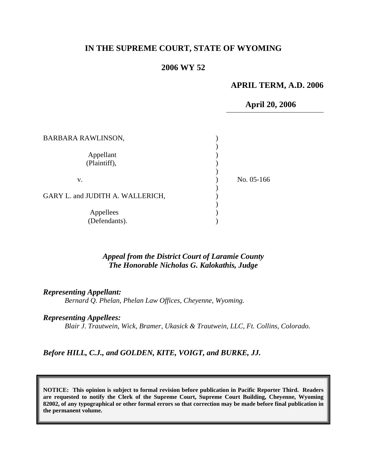# **IN THE SUPREME COURT, STATE OF WYOMING**

## **2006 WY 52**

### **APRIL TERM, A.D. 2006**

 **April 20, 2006**

| <b>BARBARA RAWLINSON,</b>        |            |
|----------------------------------|------------|
| Appellant<br>(Plaintiff),        |            |
| V.                               | No. 05-166 |
| GARY L. and JUDITH A. WALLERICH, |            |
| Appellees<br>(Defendants).       |            |

### *Appeal from the District Court of Laramie County The Honorable Nicholas G. Kalokathis, Judge*

*Representing Appellant:* 

*Bernard Q. Phelan, Phelan Law Offices, Cheyenne, Wyoming.* 

#### *Representing Appellees:*

*Blair J. Trautwein, Wick, Bramer, Ukasick & Trautwein, LLC, Ft. Collins, Colorado.* 

#### *Before HILL, C.J., and GOLDEN, KITE, VOIGT, and BURKE, JJ.*

**NOTICE: This opinion is subject to formal revision before publication in Pacific Reporter Third. Readers are requested to notify the Clerk of the Supreme Court, Supreme Court Building, Cheyenne, Wyoming 82002, of any typographical or other formal errors so that correction may be made before final publication in the permanent volume.**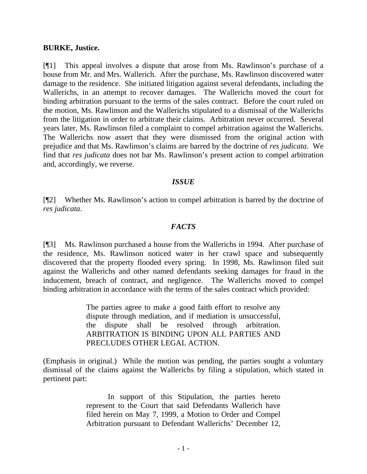#### **BURKE, Justice.**

[¶1] This appeal involves a dispute that arose from Ms. Rawlinson's purchase of a house from Mr. and Mrs. Wallerich. After the purchase, Ms. Rawlinson discovered water damage to the residence. She initiated litigation against several defendants, including the Wallerichs, in an attempt to recover damages. The Wallerichs moved the court for binding arbitration pursuant to the terms of the sales contract. Before the court ruled on the motion, Ms. Rawlinson and the Wallerichs stipulated to a dismissal of the Wallerichs from the litigation in order to arbitrate their claims. Arbitration never occurred. Several years later, Ms. Rawlinson filed a complaint to compel arbitration against the Wallerichs. The Wallerichs now assert that they were dismissed from the original action with prejudice and that Ms. Rawlinson's claims are barred by the doctrine of *res judicata*. We find that *res judicata* does not bar Ms. Rawlinson's present action to compel arbitration and, accordingly, we reverse.

## *ISSUE*

[¶2] Whether Ms. Rawlinson's action to compel arbitration is barred by the doctrine of *res judicata*.

## *FACTS*

[¶3] Ms. Rawlinson purchased a house from the Wallerichs in 1994. After purchase of the residence, Ms. Rawlinson noticed water in her crawl space and subsequently discovered that the property flooded every spring. In 1998, Ms. Rawlinson filed suit against the Wallerichs and other named defendants seeking damages for fraud in the inducement, breach of contract, and negligence. The Wallerichs moved to compel binding arbitration in accordance with the terms of the sales contract which provided:

> The parties agree to make a good faith effort to resolve any dispute through mediation, and if mediation is unsuccessful, the dispute shall be resolved through arbitration. ARBITRATION IS BINDING UPON ALL PARTIES AND PRECLUDES OTHER LEGAL ACTION.

(Emphasis in original.) While the motion was pending, the parties sought a voluntary dismissal of the claims against the Wallerichs by filing a stipulation, which stated in pertinent part:

> In support of this Stipulation, the parties hereto represent to the Court that said Defendants Wallerich have filed herein on May 7, 1999, a Motion to Order and Compel Arbitration pursuant to Defendant Wallerichs' December 12,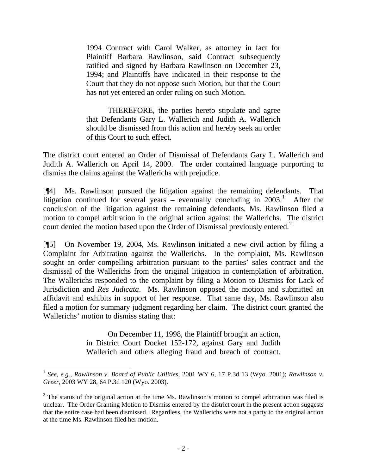1994 Contract with Carol Walker, as attorney in fact for Plaintiff Barbara Rawlinson, said Contract subsequently ratified and signed by Barbara Rawlinson on December 23, 1994; and Plaintiffs have indicated in their response to the Court that they do not oppose such Motion, but that the Court has not yet entered an order ruling on such Motion.

THEREFORE, the parties hereto stipulate and agree that Defendants Gary L. Wallerich and Judith A. Wallerich should be dismissed from this action and hereby seek an order of this Court to such effect.

The district court entered an Order of Dismissal of Defendants Gary L. Wallerich and Judith A. Wallerich on April 14, 2000. The order contained language purporting to dismiss the claims against the Wallerichs with prejudice.

[¶4] Ms. Rawlinson pursued the litigation against the remaining defendants. That litigation continued for several years – eventually concluding in  $2003$ <sup>[1](#page-2-0)</sup>. After the conclusion of the litigation against the remaining defendants, Ms. Rawlinson filed a motion to compel arbitration in the original action against the Wallerichs. The district court denied the motion based upon the Order of Dismissal previously entered.<sup>[2](#page-2-1)</sup>

[¶5] On November 19, 2004, Ms. Rawlinson initiated a new civil action by filing a Complaint for Arbitration against the Wallerichs. In the complaint, Ms. Rawlinson sought an order compelling arbitration pursuant to the parties' sales contract and the dismissal of the Wallerichs from the original litigation in contemplation of arbitration. The Wallerichs responded to the complaint by filing a Motion to Dismiss for Lack of Jurisdiction and *Res Judicata*. Ms. Rawlinson opposed the motion and submitted an affidavit and exhibits in support of her response. That same day, Ms. Rawlinson also filed a motion for summary judgment regarding her claim. The district court granted the Wallerichs' motion to dismiss stating that:

> On December 11, 1998, the Plaintiff brought an action, in District Court Docket 152-172, against Gary and Judith Wallerich and others alleging fraud and breach of contract.

 $\overline{a}$ 

<span id="page-2-0"></span><sup>1</sup> *See, e.g., Rawlinson v. Board of Public Utilities*, 2001 WY 6, 17 P.3d 13 (Wyo. 2001); *Rawlinson v. Greer,* 2003 WY 28, 64 P.3d 120 (Wyo. 2003).

<span id="page-2-1"></span> $2$  The status of the original action at the time Ms. Rawlinson's motion to compel arbitration was filed is unclear. The Order Granting Motion to Dismiss entered by the district court in the present action suggests that the entire case had been dismissed. Regardless, the Wallerichs were not a party to the original action at the time Ms. Rawlinson filed her motion.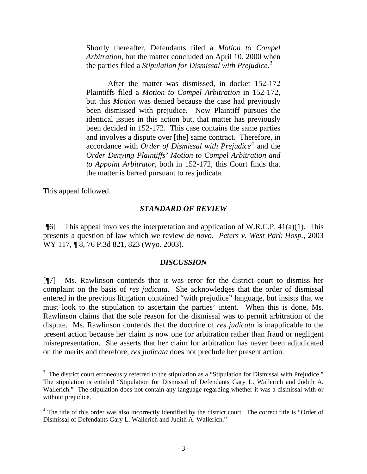Shortly thereafter, Defendants filed a *Motion to Compel Arbitration*, but the matter concluded on April 10, 2000 when the parties filed a *Stipulation for Dismissal with Prejudice*. [3](#page-3-0)

After the matter was dismissed, in docket 152-172 Plaintiffs filed a *Motion to Compel Arbitration* in 152-172, but this *Motion* was denied because the case had previously been dismissed with prejudice. Now Plaintiff pursues the identical issues in this action but, that matter has previously been decided in 152-172. This case contains the same parties and involves a dispute over [the] same contract. Therefore, in accordance with *Order of Dismissal with Prejudice[4](#page-3-1)* and the *Order Denying Plaintiffs' Motion to Compel Arbitration and to Appoint Arbitrator,* both in 152-172, this Court finds that the matter is barred pursuant to res judicata.

This appeal followed.

 $\overline{a}$ 

#### *STANDARD OF REVIEW*

[ $[$ [6] This appeal involves the interpretation and application of W.R.C.P. 41(a)(1). This presents a question of law which we review *de novo*. *Peters v. West Park Hosp.,* 2003 WY 117, ¶ 8, 76 P.3d 821, 823 (Wyo. 2003).

#### *DISCUSSION*

[¶7] Ms. Rawlinson contends that it was error for the district court to dismiss her complaint on the basis of *res judicata*. She acknowledges that the order of dismissal entered in the previous litigation contained "with prejudice" language, but insists that we must look to the stipulation to ascertain the parties' intent. When this is done, Ms. Rawlinson claims that the sole reason for the dismissal was to permit arbitration of the dispute. Ms. Rawlinson contends that the doctrine of *res judicata* is inapplicable to the present action because her claim is now one for arbitration rather than fraud or negligent misrepresentation. She asserts that her claim for arbitration has never been adjudicated on the merits and therefore, *res judicata* does not preclude her present action.

<span id="page-3-0"></span><sup>&</sup>lt;sup>3</sup> The district court erroneously referred to the stipulation as a "Stipulation for Dismissal with Prejudice." The stipulation is entitled "Stipulation for Dismissal of Defendants Gary L. Wallerich and Judith A. Wallerich." The stipulation does not contain any language regarding whether it was a dismissal with or without prejudice.

<span id="page-3-1"></span><sup>&</sup>lt;sup>4</sup> The title of this order was also incorrectly identified by the district court. The correct title is "Order of Dismissal of Defendants Gary L. Wallerich and Judith A. Wallerich."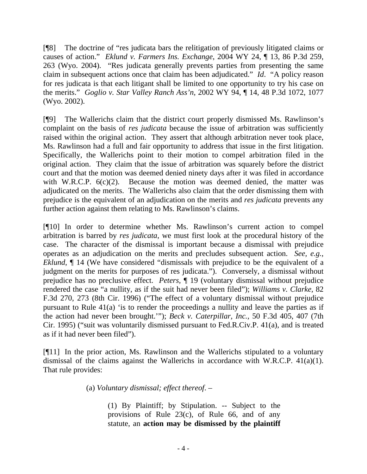[¶8] The doctrine of "res judicata bars the relitigation of previously litigated claims or causes of action." *Eklund v. Farmers Ins. Exchange*[, 2004 WY 24, ¶ 13, 86 P.3d 259,](http://www.lexis.com/research/xlink?app=00075&view=full&searchtype=get&search=2004+WY+24%2C+P14)  [263 \(Wyo. 2004\).](http://www.lexis.com/research/xlink?app=00075&view=full&searchtype=get&search=2004+WY+24%2C+P14) "Res judicata generally prevents parties from presenting the same claim in subsequent actions once that claim has been adjudicated." *Id*. "A policy reason for res judicata is that each litigant shall be limited to one opportunity to try his case on the merits." *Goglio v. Star Valley Ranch Ass'n*, 2002 WY 94, ¶ 14, 48 P.3d 1072, 1077 (Wyo. 2002).

[¶9] The Wallerichs claim that the district court properly dismissed Ms. Rawlinson's complaint on the basis of *res judicata* because the issue of arbitration was sufficiently raised within the original action. They assert that although arbitration never took place, Ms. Rawlinson had a full and fair opportunity to address that issue in the first litigation. Specifically, the Wallerichs point to their motion to compel arbitration filed in the original action. They claim that the issue of arbitration was squarely before the district court and that the motion was deemed denied ninety days after it was filed in accordance with W.R.C.P.  $6(c)(2)$ . Because the motion was deemed denied, the matter was adjudicated on the merits. The Wallerichs also claim that the order dismissing them with prejudice is the equivalent of an adjudication on the merits and *res judicata* prevents any further action against them relating to Ms. Rawlinson's claims.

[¶10] In order to determine whether Ms. Rawlinson's current action to compel arbitration is barred by *res judicata*, we must first look at the procedural history of the case. The character of the dismissal is important because a dismissal with prejudice operates as an adjudication on the merits and precludes subsequent action. *See, e.g., [Eklund](http://www.lexis.com/research/xlink?app=00075&view=full&searchtype=get&search=2004+WY+24%2C+P14)*,  $\P$  14 (We have considered "dismissals with prejudice to be the equivalent of a judgment on the merits for purposes of res judicata."). Conversely, a dismissal without prejudice has no preclusive effect. *Peters,* ¶ 19 (voluntary dismissal without prejudice rendered the case "a nullity, as if the suit had never been filed"); *Williams v. Clarke,* 82 F.3d 270, 273 (8th Cir. 1996) ("The effect of a voluntary dismissal without prejudice pursuant to Rule 41(a) 'is to render the proceedings a nullity and leave the parties as if the action had never been brought.'"); *Beck v. Caterpillar, Inc.,* 50 F.3d 405, 407 (7th Cir. 1995) ("suit was voluntarily dismissed pursuant to Fed.R.Civ.P. 41(a), and is treated as if it had never been filed").

[¶11] In the prior action, Ms. Rawlinson and the Wallerichs stipulated to a voluntary dismissal of the claims against the Wallerichs in accordance with W.R.C.P. 41(a)(1). That rule provides:

(a) *Voluntary dismissal; effect thereof*. –

(1) By Plaintiff; by Stipulation. -- Subject to the provisions of Rule 23(c), of Rule 66, and of any statute, an **action may be dismissed by the plaintiff**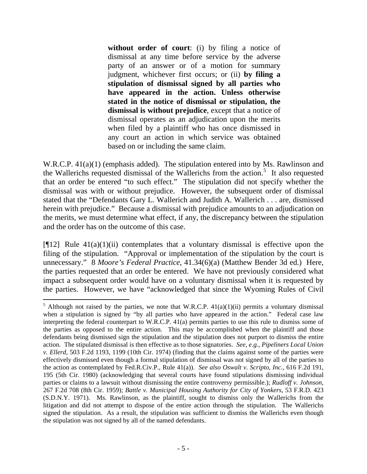**without order of court**: (i) by filing a notice of dismissal at any time before service by the adverse party of an answer or of a motion for summary judgment, whichever first occurs; or (ii) **by filing a stipulation of dismissal signed by all parties who have appeared in the action. Unless otherwise stated in the notice of dismissal or stipulation, the dismissal is without prejudice**, except that a notice of dismissal operates as an adjudication upon the merits when filed by a plaintiff who has once dismissed in any court an action in which service was obtained based on or including the same claim.

W.R.C.P. 41(a)(1) (emphasis added). The stipulation entered into by Ms. Rawlinson and the Wallerichs requested dismissal of the Wallerichs from the action.<sup>[5](#page-5-0)</sup> It also requested that an order be entered "to such effect." The stipulation did not specify whether the dismissal was with or without prejudice. However, the subsequent order of dismissal stated that the "Defendants Gary L. Wallerich and Judith A. Wallerich . . . are, dismissed herein with prejudice." Because a dismissal with prejudice amounts to an adjudication on the merits, we must determine what effect, if any, the discrepancy between the stipulation and the order has on the outcome of this case.

[ $[12]$ ] Rule 41(a)(1)(ii) contemplates that a voluntary dismissal is effective upon the filing of the stipulation. "Approval or implementation of the stipulation by the court is unnecessary." 8 *Moore's Federal Practice*, 41.34(6)(a) (Matthew Bender 3d ed.) Here, the parties requested that an order be entered. We have not previously considered what impact a subsequent order would have on a voluntary dismissal when it is requested by the parties. However, we have "acknowledged that since the Wyoming Rules of Civil

 $\overline{a}$ 

<span id="page-5-0"></span><sup>&</sup>lt;sup>5</sup> Although not raised by the parties, we note that W.R.C.P.  $41(a)(1)(ii)$  permits a voluntary dismissal when a stipulation is signed by "by all parties who have appeared in the action." Federal case law interpreting the federal counterpart to W.R.C.P. 41(a) permits parties to use this rule to dismiss some of the parties as opposed to the entire action. This may be accomplished when the plaintiff and those defendants being dismissed sign the stipulation and the stipulation does not purport to dismiss the entire action. The stipulated dismissal is then effective as to those signatories. *See, e.g., Pipeliners Local Union v. Ellerd*, 503 F.2d 1193, 1199 (10th Cir. 1974) (finding that the claims against some of the parties were effectively dismissed even though a formal stipulation of dismissal was not signed by all of the parties to the action as contemplated by Fed.R.Civ.P., Rule 41(a)). *See also [Oswalt v. Scripto, Inc.](http://www.lexis.com/research/xlink?app=00075&view=full&searchtype=get&search=616+F.2d+195)*, 616 F.2d 191, [195 \(5th Cir. 1980\)](http://www.lexis.com/research/xlink?app=00075&view=full&searchtype=get&search=616+F.2d+195) (acknowledging that several courts have found stipulations dismissing individual parties or claims to a lawsuit without dismissing the entire controversy permissible.); *Rudloff v. Johnson*, 267 F.2d 708 (8th Cir. 1959); *Battle v. Municipal Housing Authority for City of Yonkers*, 53 F.R.D. 423 (S.D.N.Y. 1971). Ms. Rawlinson, as the plaintiff, sought to dismiss only the Wallerichs from the litigation and did not attempt to dispose of the entire action through the stipulation. The Wallerichs signed the stipulation. As a result, the stipulation was sufficient to dismiss the Wallerichs even though the stipulation was not signed by all of the named defendants.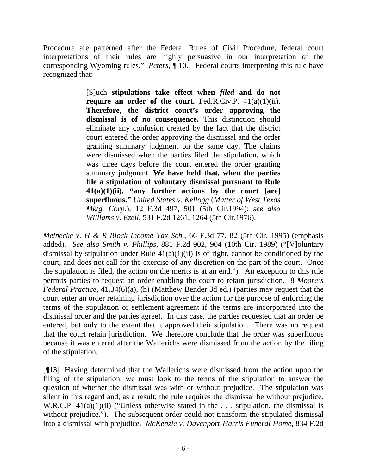Procedure are patterned after the Federal Rules of Civil Procedure, federal court interpretations of their rules are highly persuasive in our interpretation of the corresponding Wyoming rules." *Peters,* ¶ 10. Federal courts interpreting this rule have recognized that:

> [S]uch **stipulations take effect when** *filed* **and do not require an order of the court.** Fed.R.Civ.P. 41(a)(1)(ii). **Therefore, the district court's order approving the dismissal is of no consequence.** This distinction should eliminate any confusion created by the fact that the district court entered the order approving the dismissal and the order granting summary judgment on the same day. The claims were dismissed when the parties filed the stipulation, which was three days before the court entered the order granting summary judgment. **We have held that, when the parties file a stipulation of voluntary dismissal pursuant to Rule 41(a)(1)(ii), "any further actions by the court [are] superfluous."** *United States v. Kellogg* (*Matter of West Texas Mktg. Corp.*), 12 F.3d 497, 501 (5th Cir.1994); *see also Williams v. Ezell*, 531 F.2d 1261, 1264 (5th Cir.1976).

*[Meinecke v. H & R Block Income Tax Sch.](http://www.lexis.com/research/xlink?app=00075&view=full&searchtype=get&search=66+F.3d+82)*, 66 F.3d 77, 82 (5th Cir. 1995) (emphasis added). *See also Smith v. Phillips*[, 881 F.2d 902, 904 \(10th Cir. 1989\)](http://www.lexis.com/research/xlink?app=00075&view=full&searchtype=get&search=881+F.2d+904) ("[V]oluntary dismissal by stipulation under Rule  $41(a)(1)(ii)$  is of right, cannot be conditioned by the court, and does not call for the exercise of any discretion on the part of the court. Once the stipulation is filed, the action on the merits is at an end."). An exception to this rule permits parties to request an order enabling the court to retain jurisdiction. 8 *Moore's Federal Practice*, 41.34(6)(a), (h) (Matthew Bender 3d ed.) (parties may request that the court enter an order retaining jurisdiction over the action for the purpose of enforcing the terms of the stipulation or settlement agreement if the terms are incorporated into the dismissal order and the parties agree). In this case, the parties requested that an order be entered, but only to the extent that it approved their stipulation. There was no request that the court retain jurisdiction. We therefore conclude that the order was superfluous because it was entered after the Wallerichs were dismissed from the action by the filing of the stipulation.

[¶13] Having determined that the Wallerichs were dismissed from the action upon the filing of the stipulation, we must look to the terms of the stipulation to answer the question of whether the dismissal was with or without prejudice. The stipulation was silent in this regard and, as a result, the rule requires the dismissal be without prejudice. W.R.C.P.  $41(a)(1)(ii)$  ("Unless otherwise stated in the ... stipulation, the dismissal is without prejudice."). The subsequent order could not transform the stipulated dismissal into a dismissal with prejudice. *McKenzie v. Davenport-Harris Funeral Home*, 834 F.2d